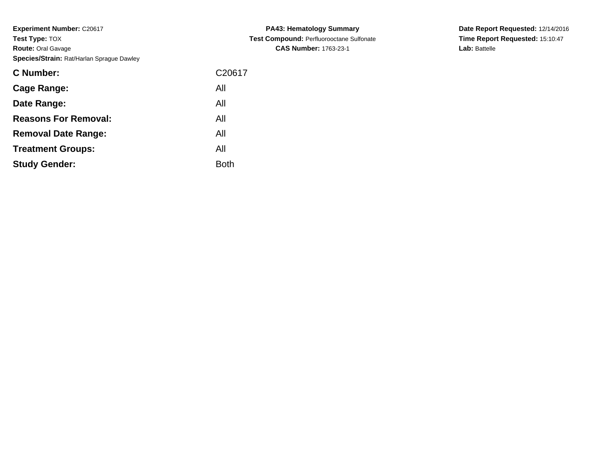| C <sub>20617</sub> |
|--------------------|
| All                |
| All                |
| All                |
| All                |
| All                |
| Both               |
|                    |

**PA43: Hematology Summary Test Compound:** Perfluorooctane Sulfonate**CAS Number:** 1763-23-1

**Date Report Requested:** 12/14/2016 **Time Report Requested:** 15:10:47**Lab:** Battelle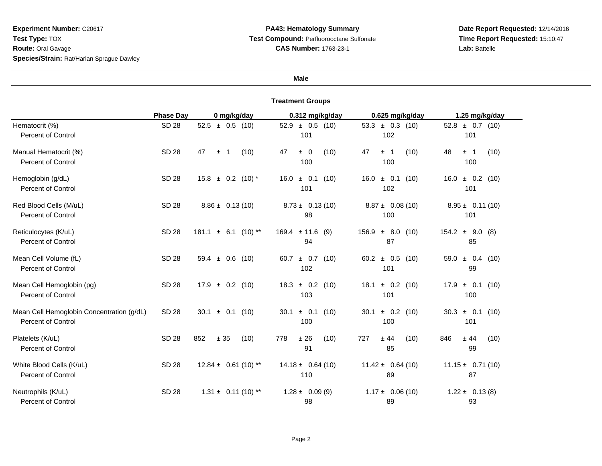#### **Male**

|                                                                        | <b>Phase Day</b> | 0 mg/kg/day                        | 0.312 mg/kg/day               | 0.625 mg/kg/day                  | 1.25 mg/kg/day                |
|------------------------------------------------------------------------|------------------|------------------------------------|-------------------------------|----------------------------------|-------------------------------|
| Hematocrit (%)<br><b>Percent of Control</b>                            | <b>SD 28</b>     | $52.5 \pm 0.5$ (10)                | $52.9 \pm 0.5$ (10)<br>101    | $53.3 \pm 0.3$ (10)<br>102       | $52.8 \pm 0.7$ (10)<br>101    |
| Manual Hematocrit (%)<br><b>Percent of Control</b>                     | SD 28            | 47<br>(10)<br>$\mathbf 1$<br>$\pm$ | 47<br>$\pm 0$<br>(10)<br>100  | 47<br>(10)<br>$\pm$ 1<br>100     | 48<br>(10)<br>± 1<br>100      |
| Hemoglobin (g/dL)<br><b>Percent of Control</b>                         | <b>SD 28</b>     | $15.8 \pm 0.2$ (10) *              | $16.0 \pm 0.1$ (10)<br>101    | $16.0 \pm 0.1$ (10)<br>102       | $16.0 \pm 0.2$ (10)<br>101    |
| Red Blood Cells (M/uL)<br><b>Percent of Control</b>                    | SD 28            | $8.86 \pm 0.13(10)$                | $8.73 \pm 0.13(10)$<br>98     | $8.87 \pm 0.08(10)$<br>100       | $8.95 \pm 0.11(10)$<br>101    |
| Reticulocytes (K/uL)<br><b>Percent of Control</b>                      | <b>SD 28</b>     | 181.1<br>$\pm$ 6.1 (10) **         | $169.4 \pm 11.6$<br>(9)<br>94 | 156.9<br>± 8.0<br>(10)<br>87     | $154.2 \pm 9.0$ (8)<br>85     |
| Mean Cell Volume (fL)<br><b>Percent of Control</b>                     | <b>SD 28</b>     | 59.4 $\pm$ 0.6 (10)                | 60.7 $\pm$ 0.7 (10)<br>102    | 60.2 $\pm$ 0.5 (10)<br>101       | $59.0 \pm 0.4$ (10)<br>99     |
| Mean Cell Hemoglobin (pg)<br><b>Percent of Control</b>                 | <b>SD 28</b>     | $\pm$ 0.2 (10)<br>17.9             | $\pm$ 0.2 (10)<br>18.3<br>103 | $\pm$ 0.2 (10)<br>18.1<br>101    | 17.9<br>$\pm$ 0.1 (10)<br>100 |
| Mean Cell Hemoglobin Concentration (g/dL)<br><b>Percent of Control</b> | <b>SD 28</b>     | ± 0.1<br>(10)<br>30.1              | ± 0.1<br>30.1<br>(10)<br>100  | $\pm$ 0.2<br>30.1<br>(10)<br>100 | $\pm$ 0.1 (10)<br>30.3<br>101 |
| Platelets (K/uL)<br><b>Percent of Control</b>                          | <b>SD 28</b>     | 852<br>± 35<br>(10)                | 778<br>± 26<br>(10)<br>91     | 727<br>± 44<br>(10)<br>85        | 846<br>± 44<br>(10)<br>99     |
| White Blood Cells (K/uL)<br><b>Percent of Control</b>                  | SD 28            | $12.84 \pm 0.61(10)$ **            | $14.18 \pm 0.64(10)$<br>110   | $11.42 \pm 0.64(10)$<br>89       | $11.15 \pm 0.71(10)$<br>87    |
| Neutrophils (K/uL)<br><b>Percent of Control</b>                        | <b>SD 28</b>     | $1.31 \pm 0.11(10)$ **             | $1.28 \pm 0.09(9)$<br>98      | $1.17 \pm 0.06(10)$<br>89        | $1.22 \pm 0.13(8)$<br>93      |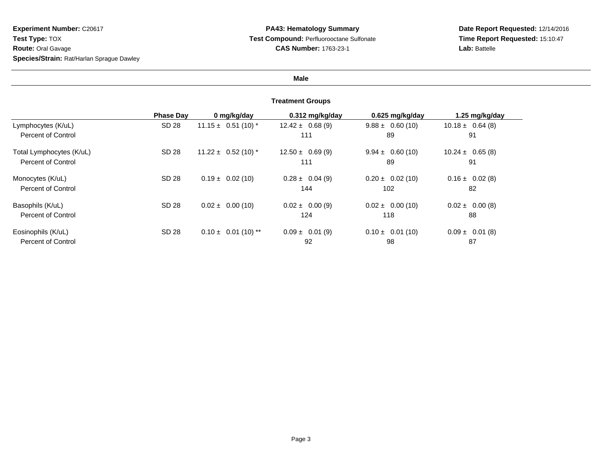**Date Report Requested:** 12/14/2016 **Time Report Requested:** 15:10:47**Lab:** Battelle

# **Male**

|                           | <b>Phase Dav</b> | 0 mg/kg/day             | 0.312 mg/kg/day     | 0.625 mg/kg/day      | 1.25 mg/kg/day       |
|---------------------------|------------------|-------------------------|---------------------|----------------------|----------------------|
| Lymphocytes (K/uL)        | SD 28            | $11.15 \pm 0.51(10)^*$  | $12.42 \pm 0.68(9)$ | $9.88 \pm 0.60(10)$  | $10.18 \pm 0.64$ (8) |
| Percent of Control        |                  |                         | 111                 | 89                   | 91                   |
| Total Lymphocytes (K/uL)  | SD 28            | $11.22 \pm 0.52$ (10) * | $12.50 \pm 0.69(9)$ | $9.94 \pm 0.60(10)$  | $10.24 \pm 0.65(8)$  |
| Percent of Control        |                  |                         | 111                 | 89                   | 91                   |
| Monocytes (K/uL)          | SD 28            | $0.19 \pm 0.02$ (10)    | $0.28 \pm 0.04(9)$  | $0.20 \pm 0.02$ (10) | $0.16 \pm 0.02(8)$   |
| Percent of Control        |                  |                         | 144                 | 102                  | 82                   |
| Basophils (K/uL)          | SD 28            | $0.02 \pm 0.00$ (10)    | $0.02 \pm 0.00(9)$  | $0.02 \pm 0.00$ (10) | $0.02 \pm 0.00(8)$   |
| <b>Percent of Control</b> |                  |                         | 124                 | 118                  | 88                   |
| Eosinophils (K/uL)        | SD 28            | $0.10 \pm 0.01$ (10) ** | $0.09 \pm 0.01$ (9) | $0.10 \pm 0.01(10)$  | $0.09 \pm 0.01$ (8)  |
| Percent of Control        |                  |                         | 92                  | 98                   | 87                   |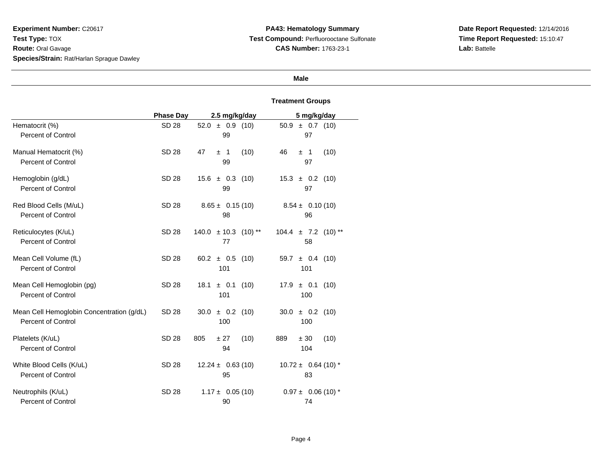**Date Report Requested:** 12/14/2016 **Time Report Requested:** 15:10:47**Lab:** Battelle

# **Male**

|                                                                        | <b>Phase Day</b> | 2.5 mg/kg/day                               | 5 mg/kg/day                   |
|------------------------------------------------------------------------|------------------|---------------------------------------------|-------------------------------|
| Hematocrit (%)                                                         | <b>SD 28</b>     | $52.0 \pm 0.9$ (10)                         | $50.9 \pm 0.7$ (10)           |
| <b>Percent of Control</b>                                              |                  | 99                                          | 97                            |
| Manual Hematocrit (%)<br><b>Percent of Control</b>                     | <b>SD 28</b>     | (10)<br>47<br>$\overline{1}$<br>$\pm$<br>99 | 46<br>(10)<br>±1<br>97        |
| Hemoglobin (g/dL)                                                      | <b>SD 28</b>     | $15.6 \pm 0.3$ (10)                         | $15.3 \pm 0.2$ (10)           |
| <b>Percent of Control</b>                                              |                  | 99                                          | 97                            |
| Red Blood Cells (M/uL)                                                 | SD 28            | $8.65 \pm 0.15(10)$                         | $8.54 \pm 0.10(10)$           |
| <b>Percent of Control</b>                                              |                  | 98                                          | 96                            |
| Reticulocytes (K/uL)                                                   | SD 28            | $140.0 \pm 10.3$ (10) **                    | $104.4 \pm 7.2$ (10) **       |
| <b>Percent of Control</b>                                              |                  | 77                                          | 58                            |
| Mean Cell Volume (fL)                                                  | <b>SD 28</b>     | 60.2 $\pm$ 0.5 (10)                         | 59.7 $\pm$ 0.4 (10)           |
| <b>Percent of Control</b>                                              |                  | 101                                         | 101                           |
| Mean Cell Hemoglobin (pg)<br><b>Percent of Control</b>                 | SD 28            | 18.1<br>$\pm$ 0.1 (10)<br>101               | $17.9 \pm 0.1$<br>(10)<br>100 |
| Mean Cell Hemoglobin Concentration (g/dL)<br><b>Percent of Control</b> | SD 28            | 30.0<br>$\pm$ 0.2 (10)<br>100               | 30.0<br>$\pm$ 0.2 (10)<br>100 |
| Platelets (K/uL)<br><b>Percent of Control</b>                          | <b>SD 28</b>     | ± 27<br>(10)<br>805<br>94                   | (10)<br>889<br>± 30<br>104    |
| White Blood Cells (K/uL)                                               | <b>SD 28</b>     | $12.24 \pm 0.63(10)$                        | $10.72 \pm 0.64$ (10) *       |
| <b>Percent of Control</b>                                              |                  | 95                                          | 83                            |
| Neutrophils (K/uL)                                                     | SD 28            | $1.17 \pm 0.05(10)$                         | $0.97 \pm 0.06$ (10) *        |
| <b>Percent of Control</b>                                              |                  | 90                                          | 74                            |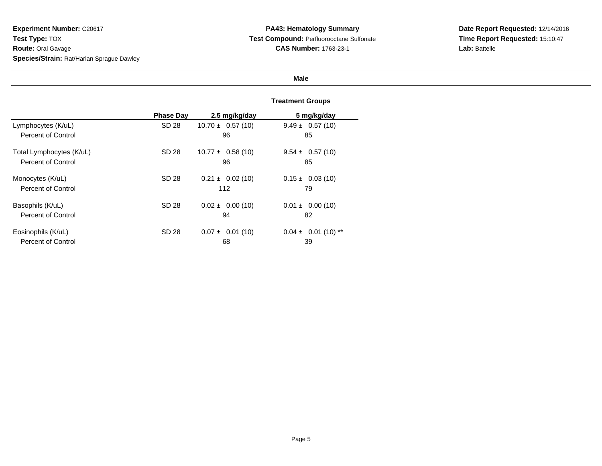**Date Report Requested:** 12/14/2016 **Time Report Requested:** 15:10:47**Lab:** Battelle

# **Male**

|                           | <b>Phase Day</b> | 2.5 mg/kg/day        | 5 mg/kg/day             |
|---------------------------|------------------|----------------------|-------------------------|
| Lymphocytes (K/uL)        | SD 28            | $10.70 \pm 0.57(10)$ | $9.49 \pm 0.57(10)$     |
| <b>Percent of Control</b> |                  | 96                   | 85                      |
| Total Lymphocytes (K/uL)  | SD 28            | $10.77 \pm 0.58(10)$ | $9.54 \pm 0.57(10)$     |
| Percent of Control        |                  | 96                   | 85                      |
| Monocytes (K/uL)          | SD 28            | $0.21 \pm 0.02$ (10) | $0.15 \pm 0.03(10)$     |
| Percent of Control        |                  | 112                  | 79                      |
| Basophils (K/uL)          | SD 28            | $0.02 \pm 0.00$ (10) | $0.01 \pm 0.00$ (10)    |
| Percent of Control        |                  | 94                   | 82                      |
| Eosinophils (K/uL)        | SD 28            | $0.07 \pm 0.01$ (10) | $0.04 \pm 0.01$ (10) ** |
| Percent of Control        |                  | 68                   | 39                      |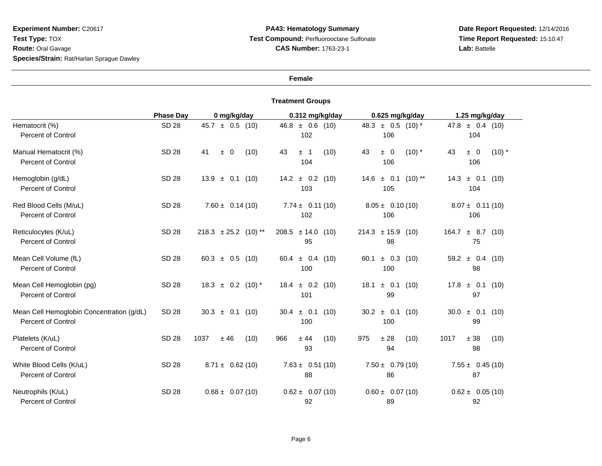# **PA43: Hematology Summary Test Compound:** Perfluorooctane Sulfonate**CAS Number:** 1763-23-1

**Date Report Requested:** 12/14/2016 **Time Report Requested:** 15:10:47**Lab:** Battelle

# **Female**

|                                                                        | <b>Phase Day</b> | 0 mg/kg/day                | 0.312 mg/kg/day                  | 0.625 mg/kg/day                  | 1.25 mg/kg/day                   |
|------------------------------------------------------------------------|------------------|----------------------------|----------------------------------|----------------------------------|----------------------------------|
| Hematocrit (%)<br><b>Percent of Control</b>                            | <b>SD 28</b>     | $45.7 \pm 0.5$ (10)        | $46.8 \pm 0.6$ (10)<br>102       | 48.3 $\pm$ 0.5 (10) *<br>106     | $47.8 \pm 0.4$ (10)<br>104       |
| Manual Hematocrit (%)<br><b>Percent of Control</b>                     | <b>SD 28</b>     | 41<br>(10)<br>$\pm$ 0      | 43<br>(10)<br>$\pm$ 1<br>104     | $(10)$ *<br>43<br>$\pm$ 0<br>106 | ± 0<br>$(10)$ *<br>43<br>106     |
| Hemoglobin (g/dL)<br><b>Percent of Control</b>                         | <b>SD 28</b>     | $13.9 \pm 0.1$<br>(10)     | $14.2 \pm 0.2$ (10)<br>103       | $14.6 \pm 0.1$ (10) **<br>105    | 14.3<br>$\pm$ 0.1<br>(10)<br>104 |
| Red Blood Cells (M/uL)<br><b>Percent of Control</b>                    | SD 28            | $7.60 \pm 0.14(10)$        | $7.74 \pm 0.11(10)$<br>102       | $8.05 \pm 0.10(10)$<br>106       | $8.07 \pm 0.11(10)$<br>106       |
| Reticulocytes (K/uL)<br><b>Percent of Control</b>                      | <b>SD 28</b>     | $218.3 \pm 25.2$ (10) **   | $208.5 \pm 14.0$<br>(10)<br>95   | $214.3 \pm 15.9$ (10)<br>98      | 164.7<br>$\pm$ 8.7 (10)<br>75    |
| Mean Cell Volume (fL)<br><b>Percent of Control</b>                     | <b>SD 28</b>     | $60.3 \pm 0.5$<br>(10)     | 60.4 $\pm$ 0.4 (10)<br>100       | $\pm$ 0.3 (10)<br>60.1<br>100    | $59.2 \pm 0.4$ (10)<br>98        |
| Mean Cell Hemoglobin (pg)<br><b>Percent of Control</b>                 | <b>SD 28</b>     | $18.3 \pm 0.2$<br>$(10)^*$ | $\pm$ 0.2 (10)<br>18.4<br>101    | $±$ 0.1<br>(10)<br>18.1<br>99    | 17.8<br>± 0.1<br>(10)<br>97      |
| Mean Cell Hemoglobin Concentration (g/dL)<br><b>Percent of Control</b> | <b>SD 28</b>     | $30.3 \pm 0.1$<br>(10)     | $\pm$ 0.1<br>(10)<br>30.4<br>100 | $\pm$ 0.1<br>30.2<br>(10)<br>100 | $±$ 0.1<br>30.0<br>(10)<br>99    |
| Platelets (K/uL)<br><b>Percent of Control</b>                          | <b>SD 28</b>     | 1037<br>±46<br>(10)        | ± 44<br>966<br>(10)<br>93        | 975<br>±28<br>(10)<br>94         | 1017<br>± 38<br>(10)<br>98       |
| White Blood Cells (K/uL)<br><b>Percent of Control</b>                  | SD 28            | $8.71 \pm 0.62(10)$        | $7.63 \pm 0.51(10)$<br>88        | $7.50 \pm 0.79(10)$<br>86        | $7.55 \pm 0.45(10)$<br>87        |
| Neutrophils (K/uL)<br><b>Percent of Control</b>                        | <b>SD 28</b>     | $0.68 \pm 0.07(10)$        | $0.62 \pm 0.07(10)$<br>92        | $0.60 \pm 0.07(10)$<br>89        | $0.62 \pm 0.05(10)$<br>92        |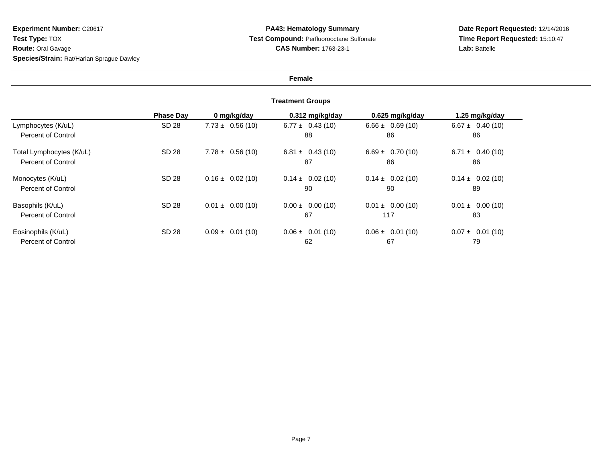# **PA43: Hematology Summary Test Compound:** Perfluorooctane Sulfonate**CAS Number:** 1763-23-1

**Date Report Requested:** 12/14/2016 **Time Report Requested:** 15:10:47**Lab:** Battelle

# **Female**

|                          | <b>Phase Dav</b> | 0 mg/kg/day          | $0.312$ mg/kg/day    | 0.625 mg/kg/day      | 1.25 mg/kg/day       |
|--------------------------|------------------|----------------------|----------------------|----------------------|----------------------|
| Lymphocytes (K/uL)       | SD 28            | $7.73 \pm 0.56(10)$  | $6.77 \pm 0.43(10)$  | $6.66 \pm 0.69(10)$  | $6.67 \pm 0.40(10)$  |
| Percent of Control       |                  |                      | 88                   | 86                   | 86                   |
| Total Lymphocytes (K/uL) | SD 28            | $7.78 \pm 0.56(10)$  | $6.81 \pm 0.43(10)$  | $6.69 \pm 0.70(10)$  | $6.71 \pm 0.40(10)$  |
| Percent of Control       |                  |                      | 87                   | 86                   | 86                   |
| Monocytes (K/uL)         | SD 28            | $0.16 \pm 0.02$ (10) | $0.14 \pm 0.02$ (10) | $0.14 \pm 0.02$ (10) | $0.14 \pm 0.02$ (10) |
| Percent of Control       |                  |                      | 90                   | 90                   | 89                   |
| Basophils (K/uL)         | SD 28            | $0.01 \pm 0.00$ (10) | $0.00 \pm 0.00$ (10) | $0.01 \pm 0.00$ (10) | $0.01 \pm 0.00$ (10) |
| Percent of Control       |                  |                      | 67                   | 117                  | 83                   |
| Eosinophils (K/uL)       | SD 28            | $0.09 \pm 0.01$ (10) | $0.06 \pm 0.01(10)$  | $0.06 \pm 0.01(10)$  | $0.07 \pm 0.01(10)$  |
| Percent of Control       |                  |                      | 62                   | 67                   | 79                   |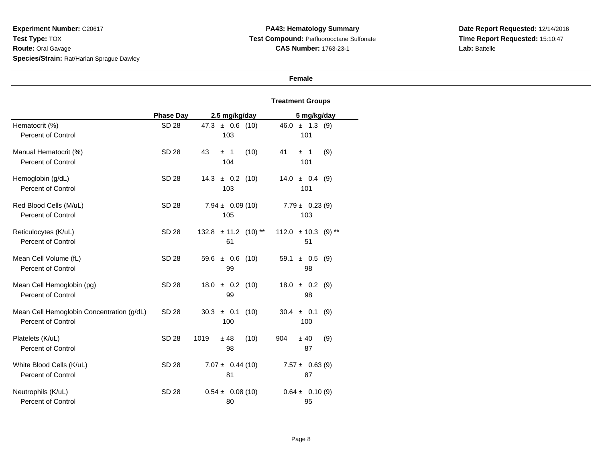# **PA43: Hematology Summary Test Compound:** Perfluorooctane Sulfonate**CAS Number:** 1763-23-1

**Date Report Requested:** 12/14/2016 **Time Report Requested:** 15:10:47**Lab:** Battelle

# **Female**

|                                                                        | <b>Phase Day</b> | 2.5 mg/kg/day                                | 5 mg/kg/day                        |
|------------------------------------------------------------------------|------------------|----------------------------------------------|------------------------------------|
| Hematocrit (%)<br><b>Percent of Control</b>                            | SD 28            | $47.3 \pm 0.6$ (10)<br>103                   | $46.0 \pm 1.3$ (9)<br>101          |
| Manual Hematocrit (%)<br><b>Percent of Control</b>                     | SD 28            | 43<br>(10)<br>$\overline{1}$<br>$\pm$<br>104 | 41<br>(9)<br>± 1<br>101            |
| Hemoglobin (g/dL)<br><b>Percent of Control</b>                         | SD 28            | $14.3 \pm 0.2$ (10)<br>103                   | $14.0 \pm 0.4$ (9)<br>101          |
| Red Blood Cells (M/uL)<br><b>Percent of Control</b>                    | SD 28            | $7.94 \pm 0.09(10)$<br>105                   | $7.79 \pm 0.23(9)$<br>103          |
| Reticulocytes (K/uL)<br>Percent of Control                             | SD 28            | $132.8 \pm 11.2$ (10) **<br>61               | $112.0 \pm 10.3$<br>$(9)$ **<br>51 |
| Mean Cell Volume (fL)<br><b>Percent of Control</b>                     | <b>SD 28</b>     | $59.6 \pm 0.6$ (10)<br>99                    | 59.1<br>$\pm$ 0.5 (9)<br>98        |
| Mean Cell Hemoglobin (pg)<br>Percent of Control                        | SD 28            | $18.0 \pm 0.2$ (10)<br>99                    | $18.0 \pm 0.2$<br>(9)<br>98        |
| Mean Cell Hemoglobin Concentration (g/dL)<br><b>Percent of Control</b> | SD 28            | $30.3 \pm 0.1$<br>(10)<br>100                | $30.4 \pm 0.1$<br>(9)<br>100       |
| Platelets (K/uL)<br><b>Percent of Control</b>                          | <b>SD 28</b>     | 1019<br>(10)<br>±48<br>98                    | 904<br>± 40<br>(9)<br>87           |
| White Blood Cells (K/uL)<br>Percent of Control                         | SD 28            | $7.07 \pm 0.44(10)$<br>81                    | $7.57 \pm 0.63(9)$<br>87           |
| Neutrophils (K/uL)<br><b>Percent of Control</b>                        | SD 28            | $0.54 \pm 0.08(10)$<br>80                    | $0.64 \pm 0.10(9)$<br>95           |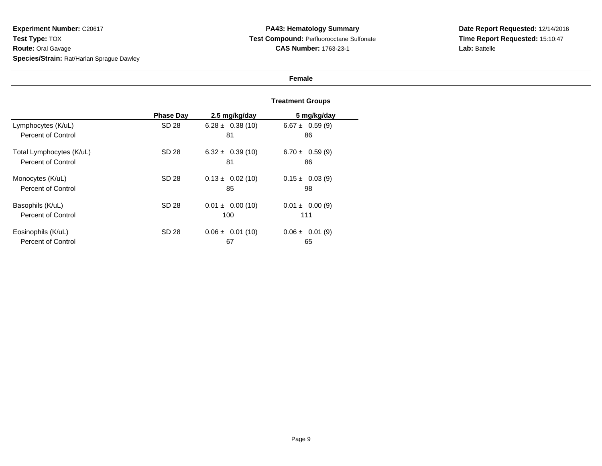# **PA43: Hematology Summary Test Compound:** Perfluorooctane Sulfonate**CAS Number:** 1763-23-1

# **Date Report Requested:** 12/14/2016 **Time Report Requested:** 15:10:47**Lab:** Battelle

# **Female**

|                           | <b>Phase Dav</b> | 2.5 mg/kg/day        | 5 mg/kg/day         |
|---------------------------|------------------|----------------------|---------------------|
| Lymphocytes (K/uL)        | SD 28            | $6.28 \pm 0.38(10)$  | $6.67 \pm 0.59(9)$  |
| Percent of Control        |                  | 81                   | 86                  |
| Total Lymphocytes (K/uL)  | SD 28            | $6.32 \pm 0.39(10)$  | $6.70 \pm 0.59(9)$  |
| <b>Percent of Control</b> |                  | 81                   | 86                  |
| Monocytes (K/uL)          | SD 28            | $0.13 \pm 0.02$ (10) | $0.15 \pm 0.03$ (9) |
| Percent of Control        |                  | 85                   | 98                  |
| Basophils (K/uL)          | SD 28            | $0.01 \pm 0.00$ (10) | $0.01 \pm 0.00(9)$  |
| Percent of Control        |                  | 100                  | 111                 |
| Eosinophils (K/uL)        | SD 28            | $0.06 \pm 0.01$ (10) | $0.06 \pm 0.01$ (9) |
| Percent of Control        |                  | 67                   | 65                  |